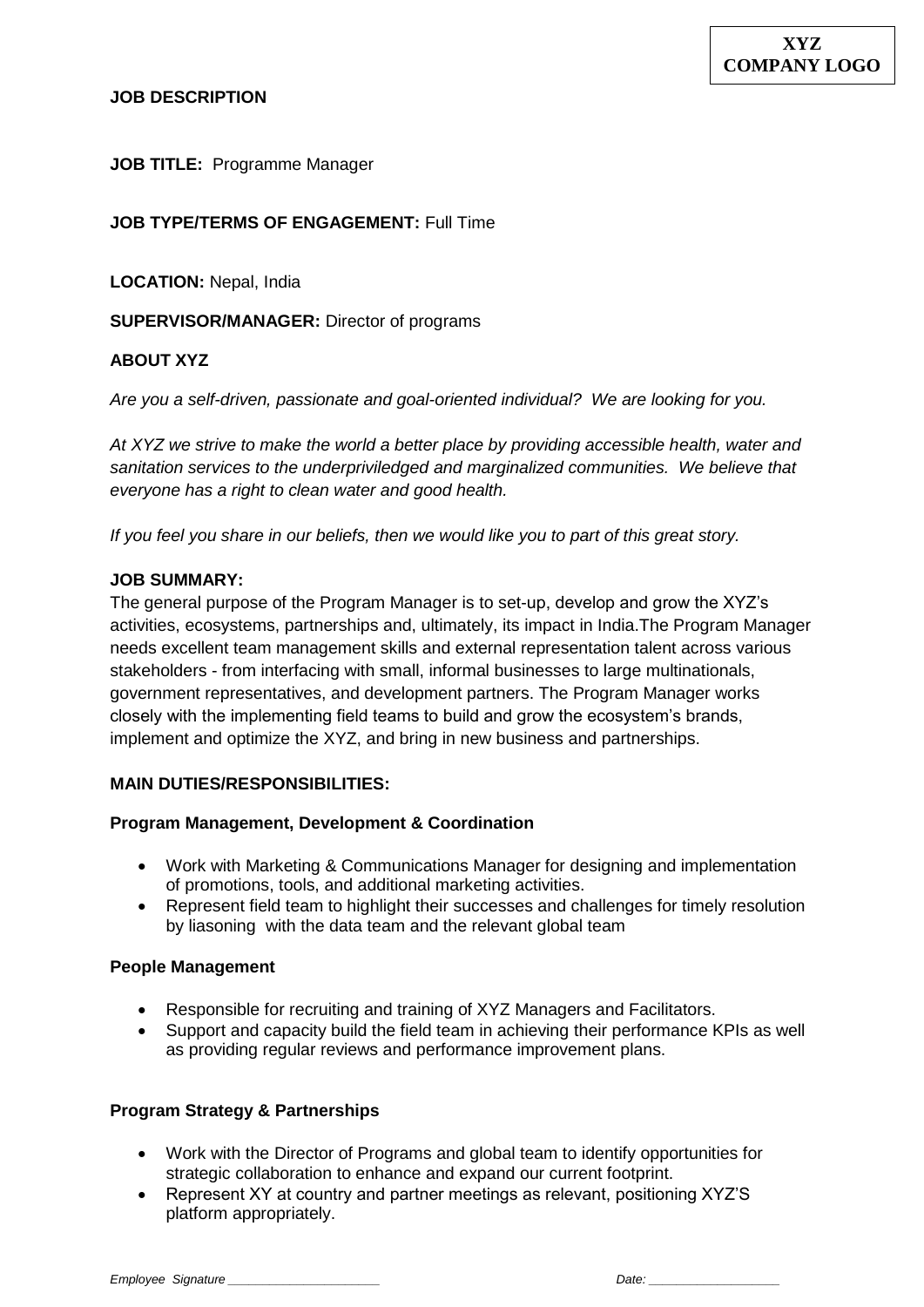#### **JOB DESCRIPTION**

**JOB TITLE:** Programme Manager

### **JOB TYPE/TERMS OF ENGAGEMENT:** Full Time

**LOCATION:** Nepal, India

**SUPERVISOR/MANAGER:** Director of programs

### **ABOUT XYZ**

*Are you a self-driven, passionate and goal-oriented individual? We are looking for you.*

*At XYZ we strive to make the world a better place by providing accessible health, water and sanitation services to the underpriviledged and marginalized communities. We believe that everyone has a right to clean water and good health.* 

*If you feel you share in our beliefs, then we would like you to part of this great story.*

#### **JOB SUMMARY:**

The general purpose of the Program Manager is to set-up, develop and grow the XYZ's activities, ecosystems, partnerships and, ultimately, its impact in India.The Program Manager needs excellent team management skills and external representation talent across various stakeholders - from interfacing with small, informal businesses to large multinationals, government representatives, and development partners. The Program Manager works closely with the implementing field teams to build and grow the ecosystem's brands, implement and optimize the XYZ, and bring in new business and partnerships.

### **MAIN DUTIES/RESPONSIBILITIES:**

#### **Program Management, Development & Coordination**

- Work with Marketing & Communications Manager for designing and implementation of promotions, tools, and additional marketing activities.
- Represent field team to highlight their successes and challenges for timely resolution by liasoning with the data team and the relevant global team

#### **People Management**

- Responsible for recruiting and training of XYZ Managers and Facilitators.
- Support and capacity build the field team in achieving their performance KPIs as well as providing regular reviews and performance improvement plans.

### **Program Strategy & Partnerships**

- Work with the Director of Programs and global team to identify opportunities for strategic collaboration to enhance and expand our current footprint.
- Represent XY at country and partner meetings as relevant, positioning XYZ'S platform appropriately.